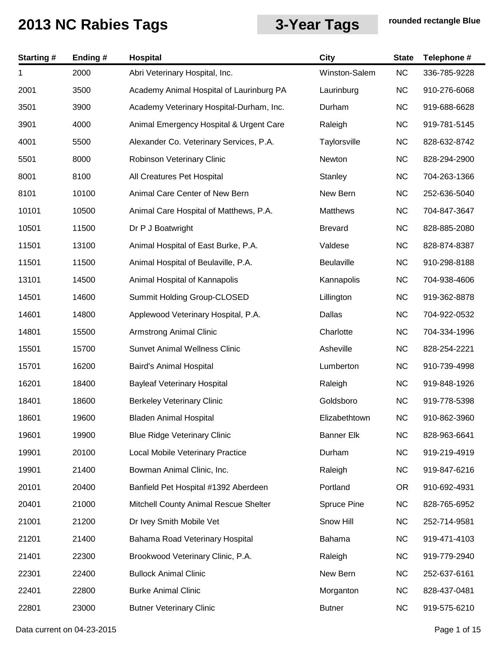| <b>Starting#</b> | Ending# | Hospital                                 | <b>City</b>       | <b>State</b> | Telephone #  |
|------------------|---------|------------------------------------------|-------------------|--------------|--------------|
| 1                | 2000    | Abri Veterinary Hospital, Inc.           | Winston-Salem     | NC           | 336-785-9228 |
| 2001             | 3500    | Academy Animal Hospital of Laurinburg PA | Laurinburg        | <b>NC</b>    | 910-276-6068 |
| 3501             | 3900    | Academy Veterinary Hospital-Durham, Inc. | Durham            | <b>NC</b>    | 919-688-6628 |
| 3901             | 4000    | Animal Emergency Hospital & Urgent Care  | Raleigh           | <b>NC</b>    | 919-781-5145 |
| 4001             | 5500    | Alexander Co. Veterinary Services, P.A.  | Taylorsville      | <b>NC</b>    | 828-632-8742 |
| 5501             | 8000    | Robinson Veterinary Clinic               | Newton            | <b>NC</b>    | 828-294-2900 |
| 8001             | 8100    | All Creatures Pet Hospital               | Stanley           | <b>NC</b>    | 704-263-1366 |
| 8101             | 10100   | Animal Care Center of New Bern           | New Bern          | <b>NC</b>    | 252-636-5040 |
| 10101            | 10500   | Animal Care Hospital of Matthews, P.A.   | Matthews          | <b>NC</b>    | 704-847-3647 |
| 10501            | 11500   | Dr P J Boatwright                        | <b>Brevard</b>    | <b>NC</b>    | 828-885-2080 |
| 11501            | 13100   | Animal Hospital of East Burke, P.A.      | Valdese           | <b>NC</b>    | 828-874-8387 |
| 11501            | 11500   | Animal Hospital of Beulaville, P.A.      | Beulaville        | <b>NC</b>    | 910-298-8188 |
| 13101            | 14500   | Animal Hospital of Kannapolis            | Kannapolis        | <b>NC</b>    | 704-938-4606 |
| 14501            | 14600   | Summit Holding Group-CLOSED              | Lillington        | <b>NC</b>    | 919-362-8878 |
| 14601            | 14800   | Applewood Veterinary Hospital, P.A.      | Dallas            | <b>NC</b>    | 704-922-0532 |
| 14801            | 15500   | <b>Armstrong Animal Clinic</b>           | Charlotte         | <b>NC</b>    | 704-334-1996 |
| 15501            | 15700   | <b>Sunvet Animal Wellness Clinic</b>     | Asheville         | <b>NC</b>    | 828-254-2221 |
| 15701            | 16200   | Baird's Animal Hospital                  | Lumberton         | <b>NC</b>    | 910-739-4998 |
| 16201            | 18400   | <b>Bayleaf Veterinary Hospital</b>       | Raleigh           | <b>NC</b>    | 919-848-1926 |
| 18401            | 18600   | <b>Berkeley Veterinary Clinic</b>        | Goldsboro         | <b>NC</b>    | 919-778-5398 |
| 18601            | 19600   | <b>Bladen Animal Hospital</b>            | Elizabethtown     | <b>NC</b>    | 910-862-3960 |
| 19601            | 19900   | <b>Blue Ridge Veterinary Clinic</b>      | <b>Banner Elk</b> | <b>NC</b>    | 828-963-6641 |
| 19901            | 20100   | Local Mobile Veterinary Practice         | Durham            | <b>NC</b>    | 919-219-4919 |
| 19901            | 21400   | Bowman Animal Clinic, Inc.               | Raleigh           | <b>NC</b>    | 919-847-6216 |
| 20101            | 20400   | Banfield Pet Hospital #1392 Aberdeen     | Portland          | <b>OR</b>    | 910-692-4931 |
| 20401            | 21000   | Mitchell County Animal Rescue Shelter    | Spruce Pine       | <b>NC</b>    | 828-765-6952 |
| 21001            | 21200   | Dr Ivey Smith Mobile Vet                 | Snow Hill         | <b>NC</b>    | 252-714-9581 |
| 21201            | 21400   | Bahama Road Veterinary Hospital          | Bahama            | <b>NC</b>    | 919-471-4103 |
| 21401            | 22300   | Brookwood Veterinary Clinic, P.A.        | Raleigh           | <b>NC</b>    | 919-779-2940 |
| 22301            | 22400   | <b>Bullock Animal Clinic</b>             | New Bern          | <b>NC</b>    | 252-637-6161 |
| 22401            | 22800   | <b>Burke Animal Clinic</b>               | Morganton         | <b>NC</b>    | 828-437-0481 |
| 22801            | 23000   | <b>Butner Veterinary Clinic</b>          | <b>Butner</b>     | <b>NC</b>    | 919-575-6210 |
|                  |         |                                          |                   |              |              |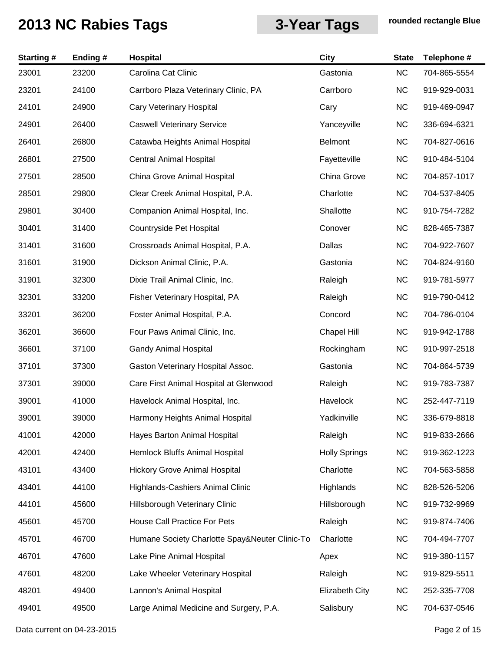| <b>Starting#</b> | Ending# | <b>Hospital</b>                                | <b>City</b>           | <b>State</b> | Telephone #  |
|------------------|---------|------------------------------------------------|-----------------------|--------------|--------------|
| 23001            | 23200   | Carolina Cat Clinic                            | Gastonia              | NC           | 704-865-5554 |
| 23201            | 24100   | Carrboro Plaza Veterinary Clinic, PA           | Carrboro              | <b>NC</b>    | 919-929-0031 |
| 24101            | 24900   | Cary Veterinary Hospital                       | Cary                  | <b>NC</b>    | 919-469-0947 |
| 24901            | 26400   | <b>Caswell Veterinary Service</b>              | Yanceyville           | <b>NC</b>    | 336-694-6321 |
| 26401            | 26800   | Catawba Heights Animal Hospital                | <b>Belmont</b>        | <b>NC</b>    | 704-827-0616 |
| 26801            | 27500   | <b>Central Animal Hospital</b>                 | Fayetteville          | <b>NC</b>    | 910-484-5104 |
| 27501            | 28500   | China Grove Animal Hospital                    | China Grove           | <b>NC</b>    | 704-857-1017 |
| 28501            | 29800   | Clear Creek Animal Hospital, P.A.              | Charlotte             | <b>NC</b>    | 704-537-8405 |
| 29801            | 30400   | Companion Animal Hospital, Inc.                | Shallotte             | <b>NC</b>    | 910-754-7282 |
| 30401            | 31400   | Countryside Pet Hospital                       | Conover               | <b>NC</b>    | 828-465-7387 |
| 31401            | 31600   | Crossroads Animal Hospital, P.A.               | Dallas                | <b>NC</b>    | 704-922-7607 |
| 31601            | 31900   | Dickson Animal Clinic, P.A.                    | Gastonia              | <b>NC</b>    | 704-824-9160 |
| 31901            | 32300   | Dixie Trail Animal Clinic, Inc.                | Raleigh               | <b>NC</b>    | 919-781-5977 |
| 32301            | 33200   | Fisher Veterinary Hospital, PA                 | Raleigh               | <b>NC</b>    | 919-790-0412 |
| 33201            | 36200   | Foster Animal Hospital, P.A.                   | Concord               | <b>NC</b>    | 704-786-0104 |
| 36201            | 36600   | Four Paws Animal Clinic, Inc.                  | <b>Chapel Hill</b>    | <b>NC</b>    | 919-942-1788 |
| 36601            | 37100   | <b>Gandy Animal Hospital</b>                   | Rockingham            | <b>NC</b>    | 910-997-2518 |
| 37101            | 37300   | Gaston Veterinary Hospital Assoc.              | Gastonia              | <b>NC</b>    | 704-864-5739 |
| 37301            | 39000   | Care First Animal Hospital at Glenwood         | Raleigh               | <b>NC</b>    | 919-783-7387 |
| 39001            | 41000   | Havelock Animal Hospital, Inc.                 | Havelock              | <b>NC</b>    | 252-447-7119 |
| 39001            | 39000   | Harmony Heights Animal Hospital                | Yadkinville           | <b>NC</b>    | 336-679-8818 |
| 41001            | 42000   | Hayes Barton Animal Hospital                   | Raleigh               | NC           | 919-833-2666 |
| 42001            | 42400   | Hemlock Bluffs Animal Hospital                 | <b>Holly Springs</b>  | <b>NC</b>    | 919-362-1223 |
| 43101            | 43400   | <b>Hickory Grove Animal Hospital</b>           | Charlotte             | <b>NC</b>    | 704-563-5858 |
| 43401            | 44100   | Highlands-Cashiers Animal Clinic               | Highlands             | NC           | 828-526-5206 |
| 44101            | 45600   | Hillsborough Veterinary Clinic                 | Hillsborough          | <b>NC</b>    | 919-732-9969 |
| 45601            | 45700   | House Call Practice For Pets                   | Raleigh               | <b>NC</b>    | 919-874-7406 |
| 45701            | 46700   | Humane Society Charlotte Spay&Neuter Clinic-To | Charlotte             | <b>NC</b>    | 704-494-7707 |
| 46701            | 47600   | Lake Pine Animal Hospital                      | Apex                  | NC           | 919-380-1157 |
| 47601            | 48200   | Lake Wheeler Veterinary Hospital               | Raleigh               | <b>NC</b>    | 919-829-5511 |
| 48201            | 49400   | Lannon's Animal Hospital                       | <b>Elizabeth City</b> | <b>NC</b>    | 252-335-7708 |
| 49401            | 49500   | Large Animal Medicine and Surgery, P.A.        | Salisbury             | <b>NC</b>    | 704-637-0546 |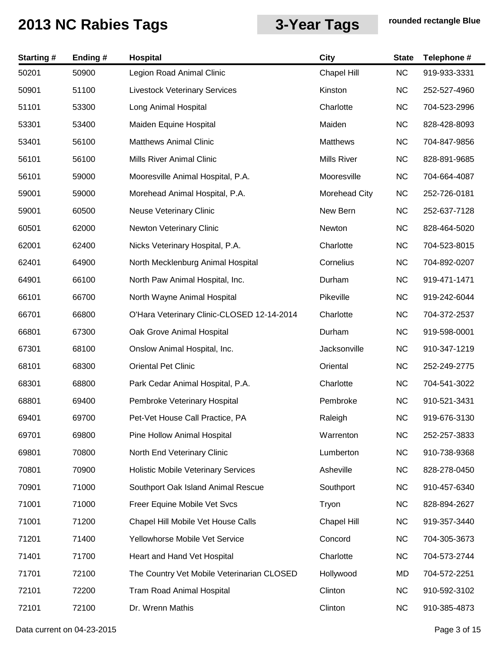| <b>Starting#</b> | Ending # | Hospital                                   | <b>City</b>          | <b>State</b> | Telephone #  |
|------------------|----------|--------------------------------------------|----------------------|--------------|--------------|
| 50201            | 50900    | Legion Road Animal Clinic                  | Chapel Hill          | NC           | 919-933-3331 |
| 50901            | 51100    | <b>Livestock Veterinary Services</b>       | Kinston              | <b>NC</b>    | 252-527-4960 |
| 51101            | 53300    | Long Animal Hospital                       | Charlotte            | <b>NC</b>    | 704-523-2996 |
| 53301            | 53400    | Maiden Equine Hospital                     | Maiden               | <b>NC</b>    | 828-428-8093 |
| 53401            | 56100    | <b>Matthews Animal Clinic</b>              | Matthews             | <b>NC</b>    | 704-847-9856 |
| 56101            | 56100    | <b>Mills River Animal Clinic</b>           | <b>Mills River</b>   | <b>NC</b>    | 828-891-9685 |
| 56101            | 59000    | Mooresville Animal Hospital, P.A.          | Mooresville          | <b>NC</b>    | 704-664-4087 |
| 59001            | 59000    | Morehead Animal Hospital, P.A.             | <b>Morehead City</b> | <b>NC</b>    | 252-726-0181 |
| 59001            | 60500    | <b>Neuse Veterinary Clinic</b>             | New Bern             | <b>NC</b>    | 252-637-7128 |
| 60501            | 62000    | <b>Newton Veterinary Clinic</b>            | Newton               | <b>NC</b>    | 828-464-5020 |
| 62001            | 62400    | Nicks Veterinary Hospital, P.A.            | Charlotte            | <b>NC</b>    | 704-523-8015 |
| 62401            | 64900    | North Mecklenburg Animal Hospital          | Cornelius            | <b>NC</b>    | 704-892-0207 |
| 64901            | 66100    | North Paw Animal Hospital, Inc.            | Durham               | <b>NC</b>    | 919-471-1471 |
| 66101            | 66700    | North Wayne Animal Hospital                | Pikeville            | <b>NC</b>    | 919-242-6044 |
| 66701            | 66800    | O'Hara Veterinary Clinic-CLOSED 12-14-2014 | Charlotte            | <b>NC</b>    | 704-372-2537 |
| 66801            | 67300    | Oak Grove Animal Hospital                  | Durham               | <b>NC</b>    | 919-598-0001 |
| 67301            | 68100    | Onslow Animal Hospital, Inc.               | Jacksonville         | <b>NC</b>    | 910-347-1219 |
| 68101            | 68300    | <b>Oriental Pet Clinic</b>                 | Oriental             | <b>NC</b>    | 252-249-2775 |
| 68301            | 68800    | Park Cedar Animal Hospital, P.A.           | Charlotte            | <b>NC</b>    | 704-541-3022 |
| 68801            | 69400    | Pembroke Veterinary Hospital               | Pembroke             | <b>NC</b>    | 910-521-3431 |
| 69401            | 69700    | Pet-Vet House Call Practice, PA            | Raleigh              | <b>NC</b>    | 919-676-3130 |
| 69701            | 69800    | Pine Hollow Animal Hospital                | Warrenton            | <b>NC</b>    | 252-257-3833 |
| 69801            | 70800    | North End Veterinary Clinic                | Lumberton            | <b>NC</b>    | 910-738-9368 |
| 70801            | 70900    | <b>Holistic Mobile Veterinary Services</b> | Asheville            | <b>NC</b>    | 828-278-0450 |
| 70901            | 71000    | Southport Oak Island Animal Rescue         | Southport            | <b>NC</b>    | 910-457-6340 |
| 71001            | 71000    | Freer Equine Mobile Vet Svcs               | Tryon                | <b>NC</b>    | 828-894-2627 |
| 71001            | 71200    | Chapel Hill Mobile Vet House Calls         | Chapel Hill          | <b>NC</b>    | 919-357-3440 |
| 71201            | 71400    | Yellowhorse Mobile Vet Service             | Concord              | <b>NC</b>    | 704-305-3673 |
| 71401            | 71700    | Heart and Hand Vet Hospital                | Charlotte            | <b>NC</b>    | 704-573-2744 |
| 71701            | 72100    | The Country Vet Mobile Veterinarian CLOSED | Hollywood            | MD           | 704-572-2251 |
| 72101            | 72200    | <b>Tram Road Animal Hospital</b>           | Clinton              | <b>NC</b>    | 910-592-3102 |
| 72101            | 72100    | Dr. Wrenn Mathis                           | Clinton              | <b>NC</b>    | 910-385-4873 |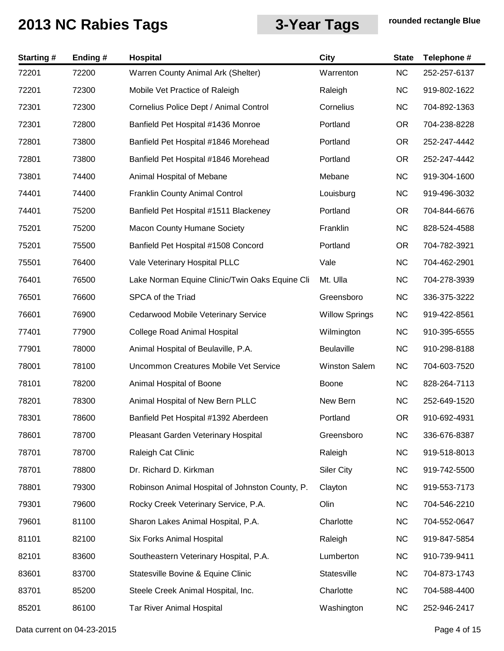| <b>Starting#</b> | Ending# | Hospital                                        | <b>City</b>           | <b>State</b> | Telephone #  |
|------------------|---------|-------------------------------------------------|-----------------------|--------------|--------------|
| 72201            | 72200   | Warren County Animal Ark (Shelter)              | Warrenton             | <b>NC</b>    | 252-257-6137 |
| 72201            | 72300   | Mobile Vet Practice of Raleigh                  | Raleigh               | <b>NC</b>    | 919-802-1622 |
| 72301            | 72300   | Cornelius Police Dept / Animal Control          | Cornelius             | <b>NC</b>    | 704-892-1363 |
| 72301            | 72800   | Banfield Pet Hospital #1436 Monroe              | Portland              | OR.          | 704-238-8228 |
| 72801            | 73800   | Banfield Pet Hospital #1846 Morehead            | Portland              | OR.          | 252-247-4442 |
| 72801            | 73800   | Banfield Pet Hospital #1846 Morehead            | Portland              | OR.          | 252-247-4442 |
| 73801            | 74400   | Animal Hospital of Mebane                       | Mebane                | <b>NC</b>    | 919-304-1600 |
| 74401            | 74400   | <b>Franklin County Animal Control</b>           | Louisburg             | <b>NC</b>    | 919-496-3032 |
| 74401            | 75200   | Banfield Pet Hospital #1511 Blackeney           | Portland              | OR.          | 704-844-6676 |
| 75201            | 75200   | <b>Macon County Humane Society</b>              | Franklin              | <b>NC</b>    | 828-524-4588 |
| 75201            | 75500   | Banfield Pet Hospital #1508 Concord             | Portland              | OR.          | 704-782-3921 |
| 75501            | 76400   | Vale Veterinary Hospital PLLC                   | Vale                  | <b>NC</b>    | 704-462-2901 |
| 76401            | 76500   | Lake Norman Equine Clinic/Twin Oaks Equine Cli  | Mt. Ulla              | <b>NC</b>    | 704-278-3939 |
| 76501            | 76600   | SPCA of the Triad                               | Greensboro            | <b>NC</b>    | 336-375-3222 |
| 76601            | 76900   | Cedarwood Mobile Veterinary Service             | <b>Willow Springs</b> | <b>NC</b>    | 919-422-8561 |
| 77401            | 77900   | <b>College Road Animal Hospital</b>             | Wilmington            | <b>NC</b>    | 910-395-6555 |
| 77901            | 78000   | Animal Hospital of Beulaville, P.A.             | Beulaville            | <b>NC</b>    | 910-298-8188 |
| 78001            | 78100   | Uncommon Creatures Mobile Vet Service           | Winston Salem         | <b>NC</b>    | 704-603-7520 |
| 78101            | 78200   | Animal Hospital of Boone                        | <b>Boone</b>          | <b>NC</b>    | 828-264-7113 |
| 78201            | 78300   | Animal Hospital of New Bern PLLC                | New Bern              | <b>NC</b>    | 252-649-1520 |
| 78301            | 78600   | Banfield Pet Hospital #1392 Aberdeen            | Portland              | OR.          | 910-692-4931 |
| 78601            | 78700   | Pleasant Garden Veterinary Hospital             | Greensboro            | <b>NC</b>    | 336-676-8387 |
| 78701            | 78700   | Raleigh Cat Clinic                              | Raleigh               | <b>NC</b>    | 919-518-8013 |
| 78701            | 78800   | Dr. Richard D. Kirkman                          | <b>Siler City</b>     | <b>NC</b>    | 919-742-5500 |
| 78801            | 79300   | Robinson Animal Hospital of Johnston County, P. | Clayton               | <b>NC</b>    | 919-553-7173 |
| 79301            | 79600   | Rocky Creek Veterinary Service, P.A.            | Olin                  | <b>NC</b>    | 704-546-2210 |
| 79601            | 81100   | Sharon Lakes Animal Hospital, P.A.              | Charlotte             | <b>NC</b>    | 704-552-0647 |
| 81101            | 82100   | Six Forks Animal Hospital                       | Raleigh               | <b>NC</b>    | 919-847-5854 |
| 82101            | 83600   | Southeastern Veterinary Hospital, P.A.          | Lumberton             | <b>NC</b>    | 910-739-9411 |
| 83601            | 83700   | Statesville Bovine & Equine Clinic              | Statesville           | <b>NC</b>    | 704-873-1743 |
| 83701            | 85200   | Steele Creek Animal Hospital, Inc.              | Charlotte             | <b>NC</b>    | 704-588-4400 |
| 85201            | 86100   | <b>Tar River Animal Hospital</b>                | Washington            | <b>NC</b>    | 252-946-2417 |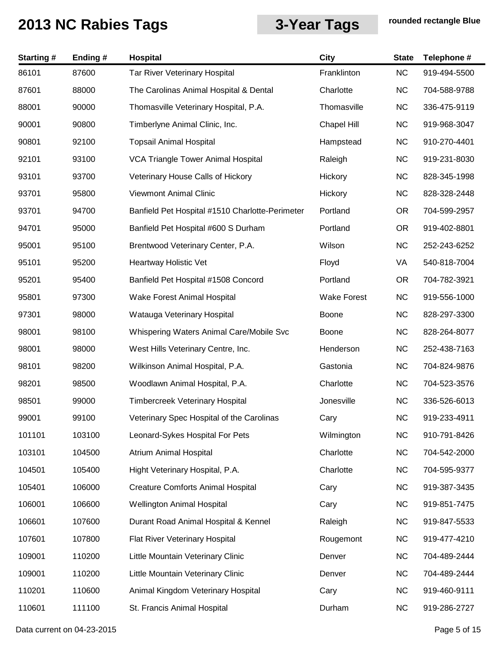| <b>Starting#</b> | Ending# | Hospital                                        | <b>City</b>        | <b>State</b> | Telephone #  |
|------------------|---------|-------------------------------------------------|--------------------|--------------|--------------|
| 86101            | 87600   | <b>Tar River Veterinary Hospital</b>            | Franklinton        | NC           | 919-494-5500 |
| 87601            | 88000   | The Carolinas Animal Hospital & Dental          | Charlotte          | <b>NC</b>    | 704-588-9788 |
| 88001            | 90000   | Thomasville Veterinary Hospital, P.A.           | Thomasville        | <b>NC</b>    | 336-475-9119 |
| 90001            | 90800   | Timberlyne Animal Clinic, Inc.                  | <b>Chapel Hill</b> | <b>NC</b>    | 919-968-3047 |
| 90801            | 92100   | <b>Topsail Animal Hospital</b>                  | Hampstead          | <b>NC</b>    | 910-270-4401 |
| 92101            | 93100   | <b>VCA Triangle Tower Animal Hospital</b>       | Raleigh            | <b>NC</b>    | 919-231-8030 |
| 93101            | 93700   | Veterinary House Calls of Hickory               | Hickory            | <b>NC</b>    | 828-345-1998 |
| 93701            | 95800   | <b>Viewmont Animal Clinic</b>                   | Hickory            | <b>NC</b>    | 828-328-2448 |
| 93701            | 94700   | Banfield Pet Hospital #1510 Charlotte-Perimeter | Portland           | <b>OR</b>    | 704-599-2957 |
| 94701            | 95000   | Banfield Pet Hospital #600 S Durham             | Portland           | <b>OR</b>    | 919-402-8801 |
| 95001            | 95100   | Brentwood Veterinary Center, P.A.               | Wilson             | <b>NC</b>    | 252-243-6252 |
| 95101            | 95200   | Heartway Holistic Vet                           | Floyd              | VA           | 540-818-7004 |
| 95201            | 95400   | Banfield Pet Hospital #1508 Concord             | Portland           | <b>OR</b>    | 704-782-3921 |
| 95801            | 97300   | <b>Wake Forest Animal Hospital</b>              | <b>Wake Forest</b> | <b>NC</b>    | 919-556-1000 |
| 97301            | 98000   | Watauga Veterinary Hospital                     | Boone              | <b>NC</b>    | 828-297-3300 |
| 98001            | 98100   | Whispering Waters Animal Care/Mobile Svc        | <b>Boone</b>       | <b>NC</b>    | 828-264-8077 |
| 98001            | 98000   | West Hills Veterinary Centre, Inc.              | Henderson          | <b>NC</b>    | 252-438-7163 |
| 98101            | 98200   | Wilkinson Animal Hospital, P.A.                 | Gastonia           | <b>NC</b>    | 704-824-9876 |
| 98201            | 98500   | Woodlawn Animal Hospital, P.A.                  | Charlotte          | <b>NC</b>    | 704-523-3576 |
| 98501            | 99000   | <b>Timbercreek Veterinary Hospital</b>          | Jonesville         | <b>NC</b>    | 336-526-6013 |
| 99001            | 99100   | Veterinary Spec Hospital of the Carolinas       | Cary               | <b>NC</b>    | 919-233-4911 |
| 101101           | 103100  | Leonard-Sykes Hospital For Pets                 | Wilmington         | <b>NC</b>    | 910-791-8426 |
| 103101           | 104500  | <b>Atrium Animal Hospital</b>                   | Charlotte          | <b>NC</b>    | 704-542-2000 |
| 104501           | 105400  | Hight Veterinary Hospital, P.A.                 | Charlotte          | <b>NC</b>    | 704-595-9377 |
| 105401           | 106000  | <b>Creature Comforts Animal Hospital</b>        | Cary               | <b>NC</b>    | 919-387-3435 |
| 106001           | 106600  | <b>Wellington Animal Hospital</b>               | Cary               | <b>NC</b>    | 919-851-7475 |
| 106601           | 107600  | Durant Road Animal Hospital & Kennel            | Raleigh            | <b>NC</b>    | 919-847-5533 |
| 107601           | 107800  | Flat River Veterinary Hospital                  | Rougemont          | <b>NC</b>    | 919-477-4210 |
| 109001           | 110200  | Little Mountain Veterinary Clinic               | Denver             | <b>NC</b>    | 704-489-2444 |
| 109001           | 110200  | Little Mountain Veterinary Clinic               | Denver             | <b>NC</b>    | 704-489-2444 |
| 110201           | 110600  | Animal Kingdom Veterinary Hospital              | Cary               | <b>NC</b>    | 919-460-9111 |
| 110601           | 111100  | St. Francis Animal Hospital                     | Durham             | <b>NC</b>    | 919-286-2727 |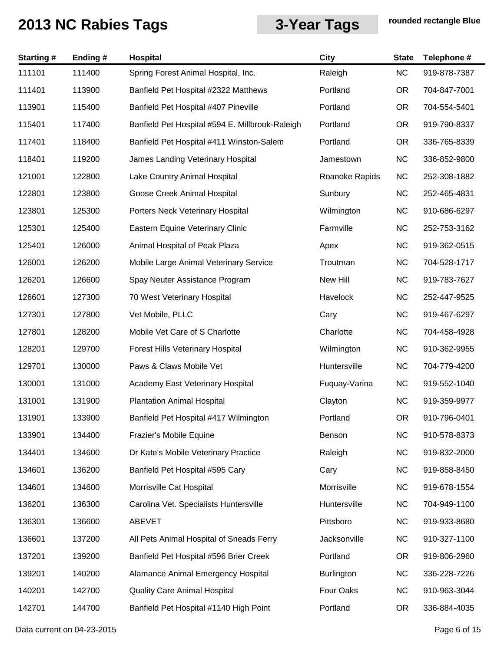| <b>Starting#</b> | Ending# | Hospital                                        | <b>City</b>       | <b>State</b> | Telephone #  |
|------------------|---------|-------------------------------------------------|-------------------|--------------|--------------|
| 111101           | 111400  | Spring Forest Animal Hospital, Inc.             | Raleigh           | NC           | 919-878-7387 |
| 111401           | 113900  | Banfield Pet Hospital #2322 Matthews            | Portland          | <b>OR</b>    | 704-847-7001 |
| 113901           | 115400  | Banfield Pet Hospital #407 Pineville            | Portland          | <b>OR</b>    | 704-554-5401 |
| 115401           | 117400  | Banfield Pet Hospital #594 E. Millbrook-Raleigh | Portland          | <b>OR</b>    | 919-790-8337 |
| 117401           | 118400  | Banfield Pet Hospital #411 Winston-Salem        | Portland          | <b>OR</b>    | 336-765-8339 |
| 118401           | 119200  | James Landing Veterinary Hospital               | Jamestown         | <b>NC</b>    | 336-852-9800 |
| 121001           | 122800  | Lake Country Animal Hospital                    | Roanoke Rapids    | <b>NC</b>    | 252-308-1882 |
| 122801           | 123800  | Goose Creek Animal Hospital                     | Sunbury           | <b>NC</b>    | 252-465-4831 |
| 123801           | 125300  | Porters Neck Veterinary Hospital                | Wilmington        | <b>NC</b>    | 910-686-6297 |
| 125301           | 125400  | Eastern Equine Veterinary Clinic                | Farmville         | <b>NC</b>    | 252-753-3162 |
| 125401           | 126000  | Animal Hospital of Peak Plaza                   | Apex              | <b>NC</b>    | 919-362-0515 |
| 126001           | 126200  | Mobile Large Animal Veterinary Service          | Troutman          | <b>NC</b>    | 704-528-1717 |
| 126201           | 126600  | Spay Neuter Assistance Program                  | New Hill          | <b>NC</b>    | 919-783-7627 |
| 126601           | 127300  | 70 West Veterinary Hospital                     | Havelock          | <b>NC</b>    | 252-447-9525 |
| 127301           | 127800  | Vet Mobile, PLLC                                | Cary              | <b>NC</b>    | 919-467-6297 |
| 127801           | 128200  | Mobile Vet Care of S Charlotte                  | Charlotte         | <b>NC</b>    | 704-458-4928 |
| 128201           | 129700  | Forest Hills Veterinary Hospital                | Wilmington        | <b>NC</b>    | 910-362-9955 |
| 129701           | 130000  | Paws & Claws Mobile Vet                         | Huntersville      | <b>NC</b>    | 704-779-4200 |
| 130001           | 131000  | Academy East Veterinary Hospital                | Fuquay-Varina     | <b>NC</b>    | 919-552-1040 |
| 131001           | 131900  | <b>Plantation Animal Hospital</b>               | Clayton           | <b>NC</b>    | 919-359-9977 |
| 131901           | 133900  | Banfield Pet Hospital #417 Wilmington           | Portland          | <b>OR</b>    | 910-796-0401 |
| 133901           | 134400  | Frazier's Mobile Equine                         | Benson            | <b>NC</b>    | 910-578-8373 |
| 134401           | 134600  | Dr Kate's Mobile Veterinary Practice            | Raleigh           | <b>NC</b>    | 919-832-2000 |
| 134601           | 136200  | Banfield Pet Hospital #595 Cary                 | Cary              | <b>NC</b>    | 919-858-8450 |
| 134601           | 134600  | Morrisville Cat Hospital                        | Morrisville       | <b>NC</b>    | 919-678-1554 |
| 136201           | 136300  | Carolina Vet. Specialists Huntersville          | Huntersville      | <b>NC</b>    | 704-949-1100 |
| 136301           | 136600  | <b>ABEVET</b>                                   | Pittsboro         | <b>NC</b>    | 919-933-8680 |
| 136601           | 137200  | All Pets Animal Hospital of Sneads Ferry        | Jacksonville      | <b>NC</b>    | 910-327-1100 |
| 137201           | 139200  | Banfield Pet Hospital #596 Brier Creek          | Portland          | <b>OR</b>    | 919-806-2960 |
| 139201           | 140200  | Alamance Animal Emergency Hospital              | <b>Burlington</b> | <b>NC</b>    | 336-228-7226 |
| 140201           | 142700  | <b>Quality Care Animal Hospital</b>             | Four Oaks         | <b>NC</b>    | 910-963-3044 |
| 142701           | 144700  | Banfield Pet Hospital #1140 High Point          | Portland          | <b>OR</b>    | 336-884-4035 |
|                  |         |                                                 |                   |              |              |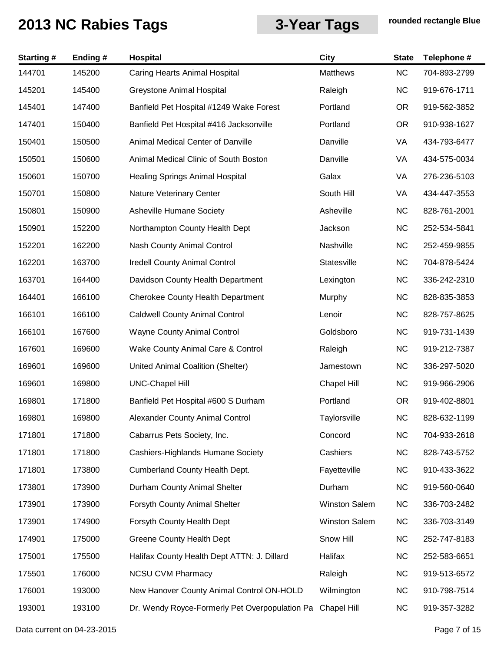| <b>Starting#</b> | Ending # | Hospital                                       | <b>City</b>          | <b>State</b> | Telephone #  |
|------------------|----------|------------------------------------------------|----------------------|--------------|--------------|
| 144701           | 145200   | <b>Caring Hearts Animal Hospital</b>           | <b>Matthews</b>      | NC           | 704-893-2799 |
| 145201           | 145400   | Greystone Animal Hospital                      | Raleigh              | <b>NC</b>    | 919-676-1711 |
| 145401           | 147400   | Banfield Pet Hospital #1249 Wake Forest        | Portland             | <b>OR</b>    | 919-562-3852 |
| 147401           | 150400   | Banfield Pet Hospital #416 Jacksonville        | Portland             | <b>OR</b>    | 910-938-1627 |
| 150401           | 150500   | Animal Medical Center of Danville              | Danville             | VA           | 434-793-6477 |
| 150501           | 150600   | Animal Medical Clinic of South Boston          | Danville             | VA           | 434-575-0034 |
| 150601           | 150700   | <b>Healing Springs Animal Hospital</b>         | Galax                | VA           | 276-236-5103 |
| 150701           | 150800   | Nature Veterinary Center                       | South Hill           | VA           | 434-447-3553 |
| 150801           | 150900   | Asheville Humane Society                       | Asheville            | <b>NC</b>    | 828-761-2001 |
| 150901           | 152200   | Northampton County Health Dept                 | Jackson              | <b>NC</b>    | 252-534-5841 |
| 152201           | 162200   | Nash County Animal Control                     | Nashville            | <b>NC</b>    | 252-459-9855 |
| 162201           | 163700   | <b>Iredell County Animal Control</b>           | Statesville          | <b>NC</b>    | 704-878-5424 |
| 163701           | 164400   | Davidson County Health Department              | Lexington            | <b>NC</b>    | 336-242-2310 |
| 164401           | 166100   | <b>Cherokee County Health Department</b>       | Murphy               | <b>NC</b>    | 828-835-3853 |
| 166101           | 166100   | <b>Caldwell County Animal Control</b>          | Lenoir               | <b>NC</b>    | 828-757-8625 |
| 166101           | 167600   | <b>Wayne County Animal Control</b>             | Goldsboro            | <b>NC</b>    | 919-731-1439 |
| 167601           | 169600   | Wake County Animal Care & Control              | Raleigh              | <b>NC</b>    | 919-212-7387 |
| 169601           | 169600   | United Animal Coalition (Shelter)              | Jamestown            | <b>NC</b>    | 336-297-5020 |
| 169601           | 169800   | <b>UNC-Chapel Hill</b>                         | <b>Chapel Hill</b>   | <b>NC</b>    | 919-966-2906 |
| 169801           | 171800   | Banfield Pet Hospital #600 S Durham            | Portland             | <b>OR</b>    | 919-402-8801 |
| 169801           | 169800   | Alexander County Animal Control                | Taylorsville         | <b>NC</b>    | 828-632-1199 |
| 171801           | 171800   | Cabarrus Pets Society, Inc.                    | Concord              | <b>NC</b>    | 704-933-2618 |
| 171801           | 171800   | Cashiers-Highlands Humane Society              | Cashiers             | <b>NC</b>    | 828-743-5752 |
| 171801           | 173800   | Cumberland County Health Dept.                 | Fayetteville         | <b>NC</b>    | 910-433-3622 |
| 173801           | 173900   | Durham County Animal Shelter                   | Durham               | <b>NC</b>    | 919-560-0640 |
| 173901           | 173900   | Forsyth County Animal Shelter                  | <b>Winston Salem</b> | <b>NC</b>    | 336-703-2482 |
| 173901           | 174900   | Forsyth County Health Dept                     | <b>Winston Salem</b> | <b>NC</b>    | 336-703-3149 |
| 174901           | 175000   | <b>Greene County Health Dept</b>               | Snow Hill            | <b>NC</b>    | 252-747-8183 |
| 175001           | 175500   | Halifax County Health Dept ATTN: J. Dillard    | Halifax              | <b>NC</b>    | 252-583-6651 |
| 175501           | 176000   | <b>NCSU CVM Pharmacy</b>                       | Raleigh              | <b>NC</b>    | 919-513-6572 |
| 176001           | 193000   | New Hanover County Animal Control ON-HOLD      | Wilmington           | <b>NC</b>    | 910-798-7514 |
| 193001           | 193100   | Dr. Wendy Royce-Formerly Pet Overpopulation Pa | Chapel Hill          | <b>NC</b>    | 919-357-3282 |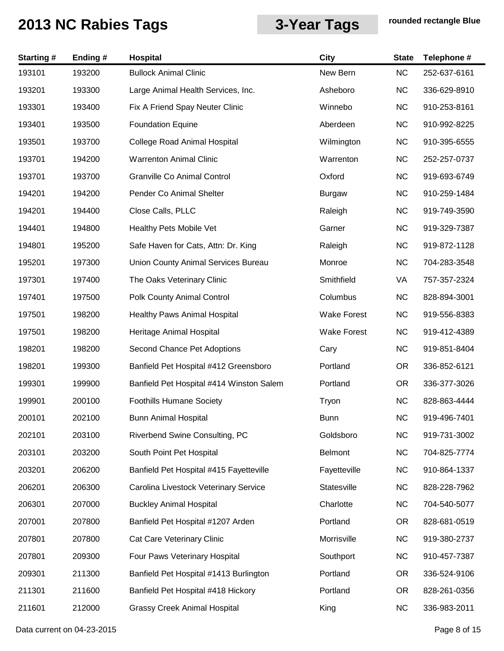| <b>Starting#</b> | Ending # | Hospital                                 | <b>City</b>        | <b>State</b> | Telephone #  |
|------------------|----------|------------------------------------------|--------------------|--------------|--------------|
| 193101           | 193200   | <b>Bullock Animal Clinic</b>             | New Bern           | NC           | 252-637-6161 |
| 193201           | 193300   | Large Animal Health Services, Inc.       | Asheboro           | <b>NC</b>    | 336-629-8910 |
| 193301           | 193400   | Fix A Friend Spay Neuter Clinic          | Winnebo            | <b>NC</b>    | 910-253-8161 |
| 193401           | 193500   | <b>Foundation Equine</b>                 | Aberdeen           | <b>NC</b>    | 910-992-8225 |
| 193501           | 193700   | <b>College Road Animal Hospital</b>      | Wilmington         | <b>NC</b>    | 910-395-6555 |
| 193701           | 194200   | <b>Warrenton Animal Clinic</b>           | Warrenton          | <b>NC</b>    | 252-257-0737 |
| 193701           | 193700   | Granville Co Animal Control              | Oxford             | <b>NC</b>    | 919-693-6749 |
| 194201           | 194200   | Pender Co Animal Shelter                 | <b>Burgaw</b>      | <b>NC</b>    | 910-259-1484 |
| 194201           | 194400   | Close Calls, PLLC                        | Raleigh            | <b>NC</b>    | 919-749-3590 |
| 194401           | 194800   | Healthy Pets Mobile Vet                  | Garner             | <b>NC</b>    | 919-329-7387 |
| 194801           | 195200   | Safe Haven for Cats, Attn: Dr. King      | Raleigh            | NC           | 919-872-1128 |
| 195201           | 197300   | Union County Animal Services Bureau      | Monroe             | <b>NC</b>    | 704-283-3548 |
| 197301           | 197400   | The Oaks Veterinary Clinic               | Smithfield         | VA           | 757-357-2324 |
| 197401           | 197500   | Polk County Animal Control               | Columbus           | <b>NC</b>    | 828-894-3001 |
| 197501           | 198200   | <b>Healthy Paws Animal Hospital</b>      | <b>Wake Forest</b> | <b>NC</b>    | 919-556-8383 |
| 197501           | 198200   | Heritage Animal Hospital                 | <b>Wake Forest</b> | <b>NC</b>    | 919-412-4389 |
| 198201           | 198200   | Second Chance Pet Adoptions              | Cary               | <b>NC</b>    | 919-851-8404 |
| 198201           | 199300   | Banfield Pet Hospital #412 Greensboro    | Portland           | <b>OR</b>    | 336-852-6121 |
| 199301           | 199900   | Banfield Pet Hospital #414 Winston Salem | Portland           | <b>OR</b>    | 336-377-3026 |
| 199901           | 200100   | <b>Foothills Humane Society</b>          | Tryon              | <b>NC</b>    | 828-863-4444 |
| 200101           | 202100   | <b>Bunn Animal Hospital</b>              | <b>Bunn</b>        | <b>NC</b>    | 919-496-7401 |
| 202101           | 203100   | Riverbend Swine Consulting, PC           | Goldsboro          | <b>NC</b>    | 919-731-3002 |
| 203101           | 203200   | South Point Pet Hospital                 | <b>Belmont</b>     | <b>NC</b>    | 704-825-7774 |
| 203201           | 206200   | Banfield Pet Hospital #415 Fayetteville  | Fayetteville       | <b>NC</b>    | 910-864-1337 |
| 206201           | 206300   | Carolina Livestock Veterinary Service    | Statesville        | NC           | 828-228-7962 |
| 206301           | 207000   | <b>Buckley Animal Hospital</b>           | Charlotte          | <b>NC</b>    | 704-540-5077 |
| 207001           | 207800   | Banfield Pet Hospital #1207 Arden        | Portland           | <b>OR</b>    | 828-681-0519 |
| 207801           | 207800   | Cat Care Veterinary Clinic               | Morrisville        | <b>NC</b>    | 919-380-2737 |
| 207801           | 209300   | Four Paws Veterinary Hospital            | Southport          | <b>NC</b>    | 910-457-7387 |
| 209301           | 211300   | Banfield Pet Hospital #1413 Burlington   | Portland           | <b>OR</b>    | 336-524-9106 |
| 211301           | 211600   | Banfield Pet Hospital #418 Hickory       | Portland           | <b>OR</b>    | 828-261-0356 |
| 211601           | 212000   | <b>Grassy Creek Animal Hospital</b>      | King               | <b>NC</b>    | 336-983-2011 |

Data current on 04-23-2015 **Page 8 of 15**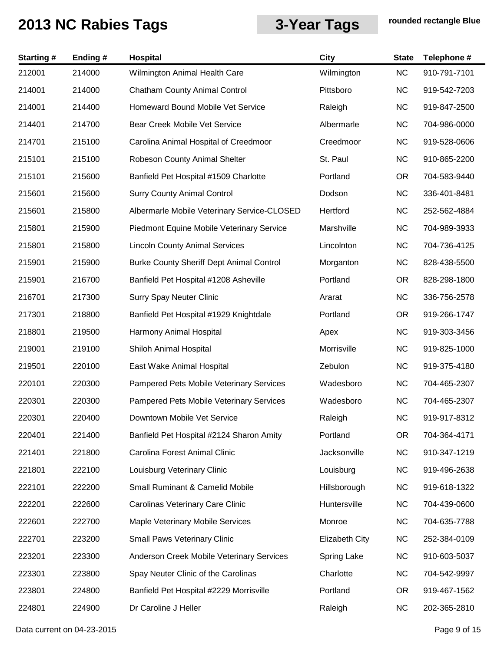| <b>Starting#</b> | Ending# | Hospital                                        | City                  | <b>State</b> | Telephone #  |
|------------------|---------|-------------------------------------------------|-----------------------|--------------|--------------|
| 212001           | 214000  | Wilmington Animal Health Care                   | Wilmington            | <b>NC</b>    | 910-791-7101 |
| 214001           | 214000  | <b>Chatham County Animal Control</b>            | Pittsboro             | <b>NC</b>    | 919-542-7203 |
| 214001           | 214400  | Homeward Bound Mobile Vet Service               | Raleigh               | <b>NC</b>    | 919-847-2500 |
| 214401           | 214700  | Bear Creek Mobile Vet Service                   | Albermarle            | <b>NC</b>    | 704-986-0000 |
| 214701           | 215100  | Carolina Animal Hospital of Creedmoor           | Creedmoor             | <b>NC</b>    | 919-528-0606 |
| 215101           | 215100  | Robeson County Animal Shelter                   | St. Paul              | <b>NC</b>    | 910-865-2200 |
| 215101           | 215600  | Banfield Pet Hospital #1509 Charlotte           | Portland              | <b>OR</b>    | 704-583-9440 |
| 215601           | 215600  | <b>Surry County Animal Control</b>              | Dodson                | <b>NC</b>    | 336-401-8481 |
| 215601           | 215800  | Albermarle Mobile Veterinary Service-CLOSED     | Hertford              | <b>NC</b>    | 252-562-4884 |
| 215801           | 215900  | Piedmont Equine Mobile Veterinary Service       | Marshville            | <b>NC</b>    | 704-989-3933 |
| 215801           | 215800  | <b>Lincoln County Animal Services</b>           | Lincolnton            | <b>NC</b>    | 704-736-4125 |
| 215901           | 215900  | <b>Burke County Sheriff Dept Animal Control</b> | Morganton             | <b>NC</b>    | 828-438-5500 |
| 215901           | 216700  | Banfield Pet Hospital #1208 Asheville           | Portland              | <b>OR</b>    | 828-298-1800 |
| 216701           | 217300  | <b>Surry Spay Neuter Clinic</b>                 | Ararat                | <b>NC</b>    | 336-756-2578 |
| 217301           | 218800  | Banfield Pet Hospital #1929 Knightdale          | Portland              | OR.          | 919-266-1747 |
| 218801           | 219500  | Harmony Animal Hospital                         | Apex                  | <b>NC</b>    | 919-303-3456 |
| 219001           | 219100  | Shiloh Animal Hospital                          | Morrisville           | <b>NC</b>    | 919-825-1000 |
| 219501           | 220100  | East Wake Animal Hospital                       | Zebulon               | <b>NC</b>    | 919-375-4180 |
| 220101           | 220300  | Pampered Pets Mobile Veterinary Services        | Wadesboro             | <b>NC</b>    | 704-465-2307 |
| 220301           | 220300  | Pampered Pets Mobile Veterinary Services        | Wadesboro             | <b>NC</b>    | 704-465-2307 |
| 220301           | 220400  | Downtown Mobile Vet Service                     | Raleigh               | <b>NC</b>    | 919-917-8312 |
| 220401           | 221400  | Banfield Pet Hospital #2124 Sharon Amity        | Portland              | <b>OR</b>    | 704-364-4171 |
| 221401           | 221800  | Carolina Forest Animal Clinic                   | Jacksonville          | <b>NC</b>    | 910-347-1219 |
| 221801           | 222100  | Louisburg Veterinary Clinic                     | Louisburg             | <b>NC</b>    | 919-496-2638 |
| 222101           | 222200  | <b>Small Ruminant &amp; Camelid Mobile</b>      | Hillsborough          | <b>NC</b>    | 919-618-1322 |
| 222201           | 222600  | Carolinas Veterinary Care Clinic                | Huntersville          | <b>NC</b>    | 704-439-0600 |
| 222601           | 222700  | Maple Veterinary Mobile Services                | Monroe                | <b>NC</b>    | 704-635-7788 |
| 222701           | 223200  | Small Paws Veterinary Clinic                    | <b>Elizabeth City</b> | <b>NC</b>    | 252-384-0109 |
| 223201           | 223300  | Anderson Creek Mobile Veterinary Services       | Spring Lake           | <b>NC</b>    | 910-603-5037 |
| 223301           | 223800  | Spay Neuter Clinic of the Carolinas             | Charlotte             | <b>NC</b>    | 704-542-9997 |
| 223801           | 224800  | Banfield Pet Hospital #2229 Morrisville         | Portland              | OR.          | 919-467-1562 |
| 224801           | 224900  | Dr Caroline J Heller                            | Raleigh               | <b>NC</b>    | 202-365-2810 |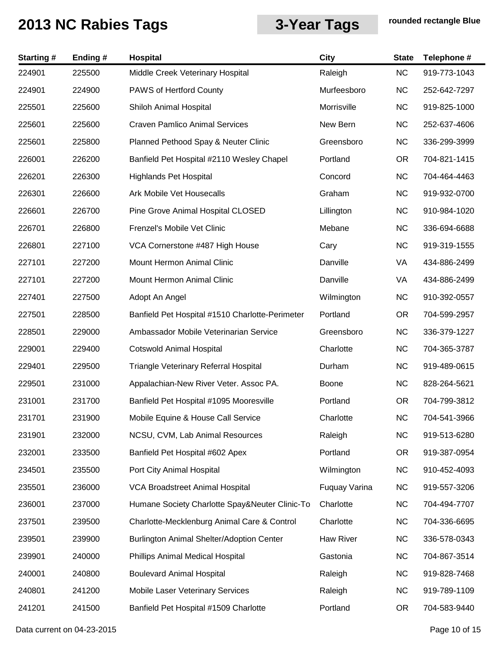| <b>Starting#</b> | Ending# | Hospital                                        | <b>City</b>   | <b>State</b> | Telephone #  |
|------------------|---------|-------------------------------------------------|---------------|--------------|--------------|
| 224901           | 225500  | Middle Creek Veterinary Hospital                | Raleigh       | <b>NC</b>    | 919-773-1043 |
| 224901           | 224900  | <b>PAWS of Hertford County</b>                  | Murfeesboro   | <b>NC</b>    | 252-642-7297 |
| 225501           | 225600  | Shiloh Animal Hospital                          | Morrisville   | <b>NC</b>    | 919-825-1000 |
| 225601           | 225600  | <b>Craven Pamlico Animal Services</b>           | New Bern      | <b>NC</b>    | 252-637-4606 |
| 225601           | 225800  | Planned Pethood Spay & Neuter Clinic            | Greensboro    | <b>NC</b>    | 336-299-3999 |
| 226001           | 226200  | Banfield Pet Hospital #2110 Wesley Chapel       | Portland      | <b>OR</b>    | 704-821-1415 |
| 226201           | 226300  | <b>Highlands Pet Hospital</b>                   | Concord       | <b>NC</b>    | 704-464-4463 |
| 226301           | 226600  | <b>Ark Mobile Vet Housecalls</b>                | Graham        | <b>NC</b>    | 919-932-0700 |
| 226601           | 226700  | Pine Grove Animal Hospital CLOSED               | Lillington    | <b>NC</b>    | 910-984-1020 |
| 226701           | 226800  | Frenzel's Mobile Vet Clinic                     | Mebane        | <b>NC</b>    | 336-694-6688 |
| 226801           | 227100  | VCA Cornerstone #487 High House                 | Cary          | <b>NC</b>    | 919-319-1555 |
| 227101           | 227200  | Mount Hermon Animal Clinic                      | Danville      | VA           | 434-886-2499 |
| 227101           | 227200  | Mount Hermon Animal Clinic                      | Danville      | VA           | 434-886-2499 |
| 227401           | 227500  | Adopt An Angel                                  | Wilmington    | <b>NC</b>    | 910-392-0557 |
| 227501           | 228500  | Banfield Pet Hospital #1510 Charlotte-Perimeter | Portland      | <b>OR</b>    | 704-599-2957 |
| 228501           | 229000  | Ambassador Mobile Veterinarian Service          | Greensboro    | <b>NC</b>    | 336-379-1227 |
| 229001           | 229400  | <b>Cotswold Animal Hospital</b>                 | Charlotte     | <b>NC</b>    | 704-365-3787 |
| 229401           | 229500  | Triangle Veterinary Referral Hospital           | Durham        | <b>NC</b>    | 919-489-0615 |
| 229501           | 231000  | Appalachian-New River Veter. Assoc PA.          | <b>Boone</b>  | <b>NC</b>    | 828-264-5621 |
| 231001           | 231700  | Banfield Pet Hospital #1095 Mooresville         | Portland      | <b>OR</b>    | 704-799-3812 |
| 231701           | 231900  | Mobile Equine & House Call Service              | Charlotte     | <b>NC</b>    | 704-541-3966 |
| 231901           | 232000  | NCSU, CVM, Lab Animal Resources                 | Raleigh       | <b>NC</b>    | 919-513-6280 |
| 232001           | 233500  | Banfield Pet Hospital #602 Apex                 | Portland      | <b>OR</b>    | 919-387-0954 |
| 234501           | 235500  | Port City Animal Hospital                       | Wilmington    | <b>NC</b>    | 910-452-4093 |
| 235501           | 236000  | <b>VCA Broadstreet Animal Hospital</b>          | Fuquay Varina | <b>NC</b>    | 919-557-3206 |
| 236001           | 237000  | Humane Society Charlotte Spay&Neuter Clinic-To  | Charlotte     | <b>NC</b>    | 704-494-7707 |
| 237501           | 239500  | Charlotte-Mecklenburg Animal Care & Control     | Charlotte     | <b>NC</b>    | 704-336-6695 |
| 239501           | 239900  | Burlington Animal Shelter/Adoption Center       | Haw River     | <b>NC</b>    | 336-578-0343 |
| 239901           | 240000  | Phillips Animal Medical Hospital                | Gastonia      | <b>NC</b>    | 704-867-3514 |
| 240001           | 240800  | <b>Boulevard Animal Hospital</b>                | Raleigh       | <b>NC</b>    | 919-828-7468 |
| 240801           | 241200  | Mobile Laser Veterinary Services                | Raleigh       | <b>NC</b>    | 919-789-1109 |
| 241201           | 241500  | Banfield Pet Hospital #1509 Charlotte           | Portland      | OR.          | 704-583-9440 |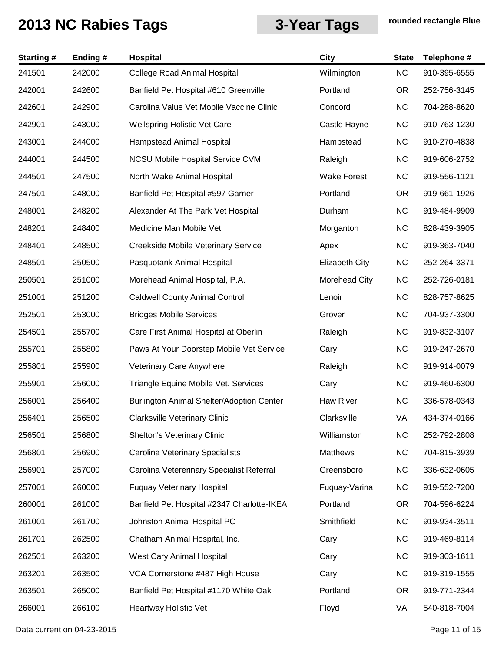| <b>Starting#</b> | Ending# | <b>Hospital</b>                            | <b>City</b>           | <b>State</b> | Telephone #  |
|------------------|---------|--------------------------------------------|-----------------------|--------------|--------------|
| 241501           | 242000  | <b>College Road Animal Hospital</b>        | Wilmington            | NC           | 910-395-6555 |
| 242001           | 242600  | Banfield Pet Hospital #610 Greenville      | Portland              | <b>OR</b>    | 252-756-3145 |
| 242601           | 242900  | Carolina Value Vet Mobile Vaccine Clinic   | Concord               | <b>NC</b>    | 704-288-8620 |
| 242901           | 243000  | <b>Wellspring Holistic Vet Care</b>        | Castle Hayne          | <b>NC</b>    | 910-763-1230 |
| 243001           | 244000  | Hampstead Animal Hospital                  | Hampstead             | <b>NC</b>    | 910-270-4838 |
| 244001           | 244500  | <b>NCSU Mobile Hospital Service CVM</b>    | Raleigh               | <b>NC</b>    | 919-606-2752 |
| 244501           | 247500  | North Wake Animal Hospital                 | <b>Wake Forest</b>    | <b>NC</b>    | 919-556-1121 |
| 247501           | 248000  | Banfield Pet Hospital #597 Garner          | Portland              | <b>OR</b>    | 919-661-1926 |
| 248001           | 248200  | Alexander At The Park Vet Hospital         | Durham                | <b>NC</b>    | 919-484-9909 |
| 248201           | 248400  | Medicine Man Mobile Vet                    | Morganton             | <b>NC</b>    | 828-439-3905 |
| 248401           | 248500  | Creekside Mobile Veterinary Service        | Apex                  | <b>NC</b>    | 919-363-7040 |
| 248501           | 250500  | Pasquotank Animal Hospital                 | <b>Elizabeth City</b> | <b>NC</b>    | 252-264-3371 |
| 250501           | 251000  | Morehead Animal Hospital, P.A.             | Morehead City         | <b>NC</b>    | 252-726-0181 |
| 251001           | 251200  | <b>Caldwell County Animal Control</b>      | Lenoir                | <b>NC</b>    | 828-757-8625 |
| 252501           | 253000  | <b>Bridges Mobile Services</b>             | Grover                | <b>NC</b>    | 704-937-3300 |
| 254501           | 255700  | Care First Animal Hospital at Oberlin      | Raleigh               | <b>NC</b>    | 919-832-3107 |
| 255701           | 255800  | Paws At Your Doorstep Mobile Vet Service   | Cary                  | <b>NC</b>    | 919-247-2670 |
| 255801           | 255900  | Veterinary Care Anywhere                   | Raleigh               | <b>NC</b>    | 919-914-0079 |
| 255901           | 256000  | Triangle Equine Mobile Vet. Services       | Cary                  | <b>NC</b>    | 919-460-6300 |
| 256001           | 256400  | Burlington Animal Shelter/Adoption Center  | Haw River             | <b>NC</b>    | 336-578-0343 |
| 256401           | 256500  | Clarksville Veterinary Clinic              | Clarksville           | VA           | 434-374-0166 |
| 256501           | 256800  | Shelton's Veterinary Clinic                | Williamston           | <b>NC</b>    | 252-792-2808 |
| 256801           | 256900  | Carolina Veterinary Specialists            | Matthews              | <b>NC</b>    | 704-815-3939 |
| 256901           | 257000  | Carolina Vetererinary Specialist Referral  | Greensboro            | <b>NC</b>    | 336-632-0605 |
| 257001           | 260000  | <b>Fuquay Veterinary Hospital</b>          | Fuquay-Varina         | <b>NC</b>    | 919-552-7200 |
| 260001           | 261000  | Banfield Pet Hospital #2347 Charlotte-IKEA | Portland              | <b>OR</b>    | 704-596-6224 |
| 261001           | 261700  | Johnston Animal Hospital PC                | Smithfield            | <b>NC</b>    | 919-934-3511 |
| 261701           | 262500  | Chatham Animal Hospital, Inc.              | Cary                  | <b>NC</b>    | 919-469-8114 |
| 262501           | 263200  | West Cary Animal Hospital                  | Cary                  | <b>NC</b>    | 919-303-1611 |
| 263201           | 263500  | VCA Cornerstone #487 High House            | Cary                  | <b>NC</b>    | 919-319-1555 |
| 263501           | 265000  | Banfield Pet Hospital #1170 White Oak      | Portland              | <b>OR</b>    | 919-771-2344 |
| 266001           | 266100  | Heartway Holistic Vet                      | Floyd                 | VA           | 540-818-7004 |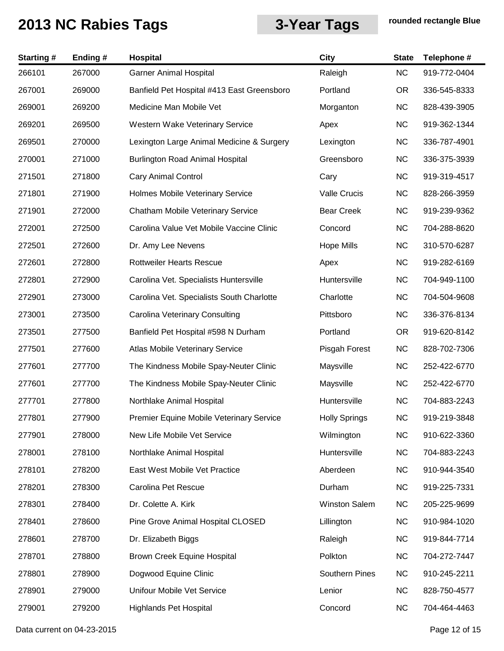| <b>Starting#</b> | Ending# | Hospital                                        | <b>City</b>          | <b>State</b> | Telephone #  |
|------------------|---------|-------------------------------------------------|----------------------|--------------|--------------|
| 266101           | 267000  | <b>Garner Animal Hospital</b>                   | Raleigh              | <b>NC</b>    | 919-772-0404 |
| 267001           | 269000  | Banfield Pet Hospital #413 East Greensboro      | Portland             | <b>OR</b>    | 336-545-8333 |
| 269001           | 269200  | Medicine Man Mobile Vet                         | Morganton            | <b>NC</b>    | 828-439-3905 |
| 269201           | 269500  | Western Wake Veterinary Service                 | Apex                 | <b>NC</b>    | 919-362-1344 |
| 269501           | 270000  | Lexington Large Animal Medicine & Surgery       | Lexington            | <b>NC</b>    | 336-787-4901 |
| 270001           | 271000  | <b>Burlington Road Animal Hospital</b>          | Greensboro           | <b>NC</b>    | 336-375-3939 |
| 271501           | 271800  | <b>Cary Animal Control</b>                      | Cary                 | <b>NC</b>    | 919-319-4517 |
| 271801           | 271900  | Holmes Mobile Veterinary Service                | Valle Crucis         | <b>NC</b>    | 828-266-3959 |
| 271901           | 272000  | Chatham Mobile Veterinary Service               | <b>Bear Creek</b>    | <b>NC</b>    | 919-239-9362 |
| 272001           | 272500  | Carolina Value Vet Mobile Vaccine Clinic        | Concord              | <b>NC</b>    | 704-288-8620 |
| 272501           | 272600  | Dr. Amy Lee Nevens                              | <b>Hope Mills</b>    | <b>NC</b>    | 310-570-6287 |
| 272601           | 272800  | <b>Rottweiler Hearts Rescue</b>                 | Apex                 | <b>NC</b>    | 919-282-6169 |
| 272801           | 272900  | Carolina Vet. Specialists Huntersville          | Huntersville         | <b>NC</b>    | 704-949-1100 |
| 272901           | 273000  | Carolina Vet. Specialists South Charlotte       | Charlotte            | <b>NC</b>    | 704-504-9608 |
| 273001           | 273500  | <b>Carolina Veterinary Consulting</b>           | Pittsboro            | <b>NC</b>    | 336-376-8134 |
| 273501           | 277500  | Banfield Pet Hospital #598 N Durham             | Portland             | <b>OR</b>    | 919-620-8142 |
| 277501           | 277600  | Atlas Mobile Veterinary Service                 | Pisgah Forest        | <b>NC</b>    | 828-702-7306 |
| 277601           | 277700  | The Kindness Mobile Spay-Neuter Clinic          | Maysville            | <b>NC</b>    | 252-422-6770 |
| 277601           | 277700  | The Kindness Mobile Spay-Neuter Clinic          | Maysville            | <b>NC</b>    | 252-422-6770 |
| 277701           | 277800  | Northlake Animal Hospital                       | Huntersville         | <b>NC</b>    | 704-883-2243 |
| 277801           | 277900  | <b>Premier Equine Mobile Veterinary Service</b> | <b>Holly Springs</b> | <b>NC</b>    | 919-219-3848 |
| 277901           | 278000  | New Life Mobile Vet Service                     | Wilmington           | <b>NC</b>    | 910-622-3360 |
| 278001           | 278100  | Northlake Animal Hospital                       | Huntersville         | <b>NC</b>    | 704-883-2243 |
| 278101           | 278200  | East West Mobile Vet Practice                   | Aberdeen             | <b>NC</b>    | 910-944-3540 |
| 278201           | 278300  | Carolina Pet Rescue                             | Durham               | <b>NC</b>    | 919-225-7331 |
| 278301           | 278400  | Dr. Colette A. Kirk                             | <b>Winston Salem</b> | <b>NC</b>    | 205-225-9699 |
| 278401           | 278600  | Pine Grove Animal Hospital CLOSED               | Lillington           | <b>NC</b>    | 910-984-1020 |
| 278601           | 278700  | Dr. Elizabeth Biggs                             | Raleigh              | <b>NC</b>    | 919-844-7714 |
| 278701           | 278800  | Brown Creek Equine Hospital                     | Polkton              | <b>NC</b>    | 704-272-7447 |
| 278801           | 278900  | Dogwood Equine Clinic                           | Southern Pines       | <b>NC</b>    | 910-245-2211 |
| 278901           | 279000  | Unifour Mobile Vet Service                      | Lenior               | <b>NC</b>    | 828-750-4577 |
| 279001           | 279200  | <b>Highlands Pet Hospital</b>                   | Concord              | <b>NC</b>    | 704-464-4463 |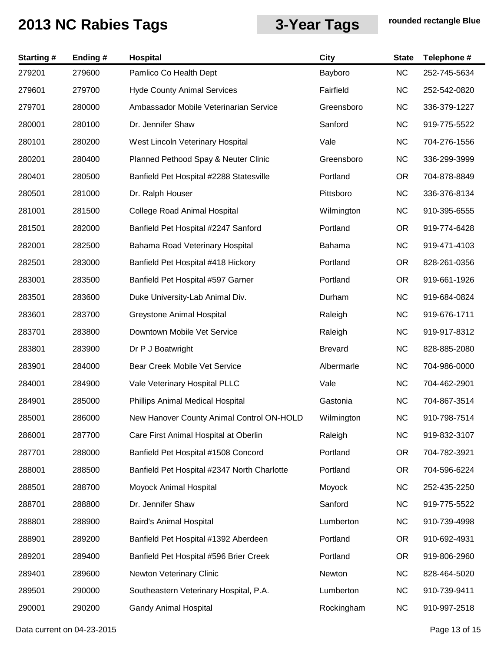| <b>Starting#</b> | Ending# | Hospital                                    | <b>City</b>    | <b>State</b> | Telephone #  |
|------------------|---------|---------------------------------------------|----------------|--------------|--------------|
| 279201           | 279600  | Pamlico Co Health Dept                      | Bayboro        | NC           | 252-745-5634 |
| 279601           | 279700  | <b>Hyde County Animal Services</b>          | Fairfield      | <b>NC</b>    | 252-542-0820 |
| 279701           | 280000  | Ambassador Mobile Veterinarian Service      | Greensboro     | <b>NC</b>    | 336-379-1227 |
| 280001           | 280100  | Dr. Jennifer Shaw                           | Sanford        | <b>NC</b>    | 919-775-5522 |
| 280101           | 280200  | West Lincoln Veterinary Hospital            | Vale           | <b>NC</b>    | 704-276-1556 |
| 280201           | 280400  | Planned Pethood Spay & Neuter Clinic        | Greensboro     | <b>NC</b>    | 336-299-3999 |
| 280401           | 280500  | Banfield Pet Hospital #2288 Statesville     | Portland       | <b>OR</b>    | 704-878-8849 |
| 280501           | 281000  | Dr. Ralph Houser                            | Pittsboro      | <b>NC</b>    | 336-376-8134 |
| 281001           | 281500  | <b>College Road Animal Hospital</b>         | Wilmington     | <b>NC</b>    | 910-395-6555 |
| 281501           | 282000  | Banfield Pet Hospital #2247 Sanford         | Portland       | <b>OR</b>    | 919-774-6428 |
| 282001           | 282500  | Bahama Road Veterinary Hospital             | Bahama         | <b>NC</b>    | 919-471-4103 |
| 282501           | 283000  | Banfield Pet Hospital #418 Hickory          | Portland       | <b>OR</b>    | 828-261-0356 |
| 283001           | 283500  | Banfield Pet Hospital #597 Garner           | Portland       | <b>OR</b>    | 919-661-1926 |
| 283501           | 283600  | Duke University-Lab Animal Div.             | Durham         | <b>NC</b>    | 919-684-0824 |
| 283601           | 283700  | Greystone Animal Hospital                   | Raleigh        | <b>NC</b>    | 919-676-1711 |
| 283701           | 283800  | Downtown Mobile Vet Service                 | Raleigh        | <b>NC</b>    | 919-917-8312 |
| 283801           | 283900  | Dr P J Boatwright                           | <b>Brevard</b> | <b>NC</b>    | 828-885-2080 |
| 283901           | 284000  | Bear Creek Mobile Vet Service               | Albermarle     | <b>NC</b>    | 704-986-0000 |
| 284001           | 284900  | Vale Veterinary Hospital PLLC               | Vale           | <b>NC</b>    | 704-462-2901 |
| 284901           | 285000  | Phillips Animal Medical Hospital            | Gastonia       | <b>NC</b>    | 704-867-3514 |
| 285001           | 286000  | New Hanover County Animal Control ON-HOLD   | Wilmington     | <b>NC</b>    | 910-798-7514 |
| 286001           | 287700  | Care First Animal Hospital at Oberlin       | Raleigh        | <b>NC</b>    | 919-832-3107 |
| 287701           | 288000  | Banfield Pet Hospital #1508 Concord         | Portland       | <b>OR</b>    | 704-782-3921 |
| 288001           | 288500  | Banfield Pet Hospital #2347 North Charlotte | Portland       | <b>OR</b>    | 704-596-6224 |
| 288501           | 288700  | Moyock Animal Hospital                      | Moyock         | NC           | 252-435-2250 |
| 288701           | 288800  | Dr. Jennifer Shaw                           | Sanford        | <b>NC</b>    | 919-775-5522 |
| 288801           | 288900  | Baird's Animal Hospital                     | Lumberton      | <b>NC</b>    | 910-739-4998 |
| 288901           | 289200  | Banfield Pet Hospital #1392 Aberdeen        | Portland       | <b>OR</b>    | 910-692-4931 |
| 289201           | 289400  | Banfield Pet Hospital #596 Brier Creek      | Portland       | <b>OR</b>    | 919-806-2960 |
| 289401           | 289600  | Newton Veterinary Clinic                    | Newton         | <b>NC</b>    | 828-464-5020 |
| 289501           | 290000  | Southeastern Veterinary Hospital, P.A.      | Lumberton      | <b>NC</b>    | 910-739-9411 |
| 290001           | 290200  | <b>Gandy Animal Hospital</b>                | Rockingham     | <b>NC</b>    | 910-997-2518 |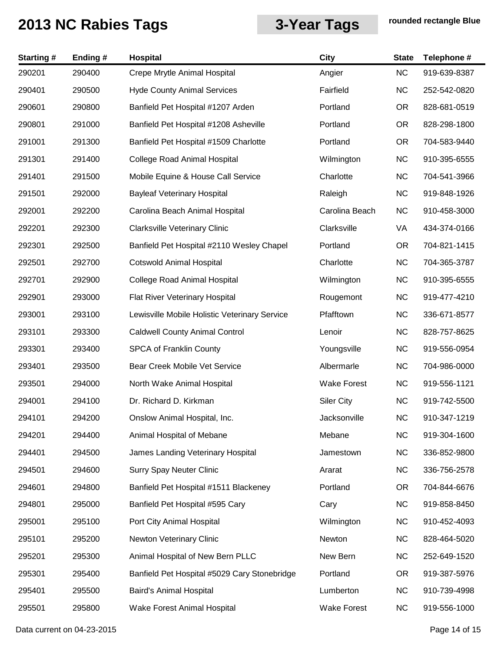| <b>Starting#</b> | Ending# | Hospital                                      | <b>City</b>        | <b>State</b> | Telephone #  |
|------------------|---------|-----------------------------------------------|--------------------|--------------|--------------|
| 290201           | 290400  | Crepe Mrytle Animal Hospital                  | Angier             | NC           | 919-639-8387 |
| 290401           | 290500  | <b>Hyde County Animal Services</b>            | Fairfield          | <b>NC</b>    | 252-542-0820 |
| 290601           | 290800  | Banfield Pet Hospital #1207 Arden             | Portland           | <b>OR</b>    | 828-681-0519 |
| 290801           | 291000  | Banfield Pet Hospital #1208 Asheville         | Portland           | <b>OR</b>    | 828-298-1800 |
| 291001           | 291300  | Banfield Pet Hospital #1509 Charlotte         | Portland           | <b>OR</b>    | 704-583-9440 |
| 291301           | 291400  | <b>College Road Animal Hospital</b>           | Wilmington         | <b>NC</b>    | 910-395-6555 |
| 291401           | 291500  | Mobile Equine & House Call Service            | Charlotte          | <b>NC</b>    | 704-541-3966 |
| 291501           | 292000  | <b>Bayleaf Veterinary Hospital</b>            | Raleigh            | <b>NC</b>    | 919-848-1926 |
| 292001           | 292200  | Carolina Beach Animal Hospital                | Carolina Beach     | <b>NC</b>    | 910-458-3000 |
| 292201           | 292300  | <b>Clarksville Veterinary Clinic</b>          | Clarksville        | VA           | 434-374-0166 |
| 292301           | 292500  | Banfield Pet Hospital #2110 Wesley Chapel     | Portland           | <b>OR</b>    | 704-821-1415 |
| 292501           | 292700  | <b>Cotswold Animal Hospital</b>               | Charlotte          | <b>NC</b>    | 704-365-3787 |
| 292701           | 292900  | <b>College Road Animal Hospital</b>           | Wilmington         | <b>NC</b>    | 910-395-6555 |
| 292901           | 293000  | Flat River Veterinary Hospital                | Rougemont          | <b>NC</b>    | 919-477-4210 |
| 293001           | 293100  | Lewisville Mobile Holistic Veterinary Service | Pfafftown          | <b>NC</b>    | 336-671-8577 |
| 293101           | 293300  | <b>Caldwell County Animal Control</b>         | Lenoir             | <b>NC</b>    | 828-757-8625 |
| 293301           | 293400  | <b>SPCA of Franklin County</b>                | Youngsville        | <b>NC</b>    | 919-556-0954 |
| 293401           | 293500  | Bear Creek Mobile Vet Service                 | Albermarle         | <b>NC</b>    | 704-986-0000 |
| 293501           | 294000  | North Wake Animal Hospital                    | <b>Wake Forest</b> | <b>NC</b>    | 919-556-1121 |
| 294001           | 294100  | Dr. Richard D. Kirkman                        | <b>Siler City</b>  | <b>NC</b>    | 919-742-5500 |
| 294101           | 294200  | Onslow Animal Hospital, Inc.                  | Jacksonville       | <b>NC</b>    | 910-347-1219 |
| 294201           | 294400  | Animal Hospital of Mebane                     | Mebane             | <b>NC</b>    | 919-304-1600 |
| 294401           | 294500  | James Landing Veterinary Hospital             | Jamestown          | <b>NC</b>    | 336-852-9800 |
| 294501           | 294600  | <b>Surry Spay Neuter Clinic</b>               | Ararat             | <b>NC</b>    | 336-756-2578 |
| 294601           | 294800  | Banfield Pet Hospital #1511 Blackeney         | Portland           | <b>OR</b>    | 704-844-6676 |
| 294801           | 295000  | Banfield Pet Hospital #595 Cary               | Cary               | <b>NC</b>    | 919-858-8450 |
| 295001           | 295100  | Port City Animal Hospital                     | Wilmington         | <b>NC</b>    | 910-452-4093 |
| 295101           | 295200  | Newton Veterinary Clinic                      | Newton             | <b>NC</b>    | 828-464-5020 |
| 295201           | 295300  | Animal Hospital of New Bern PLLC              | New Bern           | <b>NC</b>    | 252-649-1520 |
| 295301           | 295400  | Banfield Pet Hospital #5029 Cary Stonebridge  | Portland           | <b>OR</b>    | 919-387-5976 |
| 295401           | 295500  | Baird's Animal Hospital                       | Lumberton          | <b>NC</b>    | 910-739-4998 |
| 295501           | 295800  | Wake Forest Animal Hospital                   | <b>Wake Forest</b> | <b>NC</b>    | 919-556-1000 |